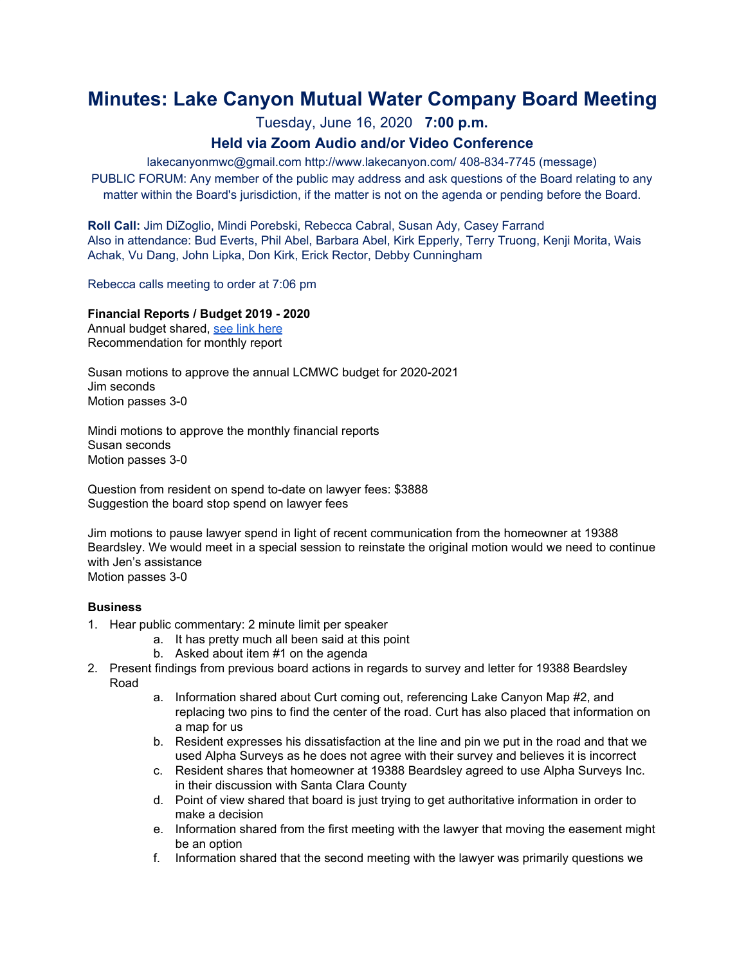# **Minutes: Lake Canyon Mutual Water Company Board Meeting**

Tuesday, June 16, 2020 **7:00 p.m.**

## **Held via Zoom Audio and/or Video Conference**

lakecanyonmwc@gmail.com http://www.lakecanyon.com/ 408-834-7745 (message) PUBLIC FORUM: Any member of the public may address and ask questions of the Board relating to any matter within the Board's jurisdiction, if the matter is not on the agenda or pending before the Board.

**Roll Call:** Jim DiZoglio, Mindi Porebski, Rebecca Cabral, Susan Ady, Casey Farrand Also in attendance: Bud Everts, Phil Abel, Barbara Abel, Kirk Epperly, Terry Truong, Kenji Morita, Wais Achak, Vu Dang, John Lipka, Don Kirk, Erick Rector, Debby Cunningham

Rebecca calls meeting to order at 7:06 pm

#### **Financial Reports / Budget 2019 - 2020**

Annual budget shared, see link [here](https://7e761103-1889-4c62-a205-c99a02daa857.usrfiles.com/ugd/7e7611_54474b33279c4ec688957e624fffed94.pdf) Recommendation for monthly report

Susan motions to approve the annual LCMWC budget for 2020-2021 Jim seconds Motion passes 3-0

Mindi motions to approve the monthly financial reports Susan seconds Motion passes 3-0

Question from resident on spend to-date on lawyer fees: \$3888 Suggestion the board stop spend on lawyer fees

Jim motions to pause lawyer spend in light of recent communication from the homeowner at 19388 Beardsley. We would meet in a special session to reinstate the original motion would we need to continue with Jen's assistance Motion passes 3-0

#### **Business**

- 1. Hear public commentary: 2 minute limit per speaker
	- a. It has pretty much all been said at this point
	- b. Asked about item #1 on the agenda
- 2. Present findings from previous board actions in regards to survey and letter for 19388 Beardsley Road
	- a. Information shared about Curt coming out, referencing Lake Canyon Map #2, and replacing two pins to find the center of the road. Curt has also placed that information on a map for us
	- b. Resident expresses his dissatisfaction at the line and pin we put in the road and that we used Alpha Surveys as he does not agree with their survey and believes it is incorrect
	- c. Resident shares that homeowner at 19388 Beardsley agreed to use Alpha Surveys Inc. in their discussion with Santa Clara County
	- d. Point of view shared that board is just trying to get authoritative information in order to make a decision
	- e. Information shared from the first meeting with the lawyer that moving the easement might be an option
	- f. Information shared that the second meeting with the lawyer was primarily questions we